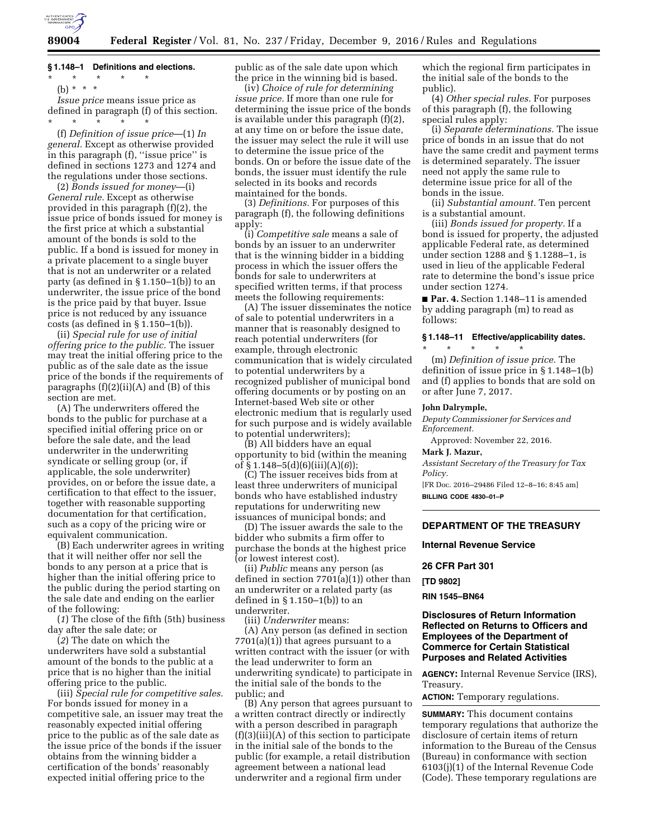

### **§ 1.148–1 Definitions and elections.**

(b) \* \* \*

*Issue price* means issue price as defined in paragraph (f) of this section. \* \* \* \* \*

(f) *Definition of issue price*—(1) *In general.* Except as otherwise provided in this paragraph (f), ''issue price'' is defined in sections 1273 and 1274 and the regulations under those sections.

(2) *Bonds issued for money*—(i) *General rule.* Except as otherwise provided in this paragraph (f)(2), the issue price of bonds issued for money is the first price at which a substantial amount of the bonds is sold to the public. If a bond is issued for money in a private placement to a single buyer that is not an underwriter or a related party (as defined in § 1.150–1(b)) to an underwriter, the issue price of the bond is the price paid by that buyer. Issue price is not reduced by any issuance  $costs$  (as defined in § 1.150–1(b)).

(ii) *Special rule for use of initial offering price to the public.* The issuer may treat the initial offering price to the public as of the sale date as the issue price of the bonds if the requirements of paragraphs  $(f)(2)(ii)(A)$  and  $(B)$  of this section are met.

(A) The underwriters offered the bonds to the public for purchase at a specified initial offering price on or before the sale date, and the lead underwriter in the underwriting syndicate or selling group (or, if applicable, the sole underwriter) provides, on or before the issue date, a certification to that effect to the issuer, together with reasonable supporting documentation for that certification, such as a copy of the pricing wire or equivalent communication.

(B) Each underwriter agrees in writing that it will neither offer nor sell the bonds to any person at a price that is higher than the initial offering price to the public during the period starting on the sale date and ending on the earlier of the following:

(*1*) The close of the fifth (5th) business day after the sale date; or

(*2*) The date on which the underwriters have sold a substantial amount of the bonds to the public at a price that is no higher than the initial offering price to the public.

(iii) *Special rule for competitive sales.*  For bonds issued for money in a competitive sale, an issuer may treat the reasonably expected initial offering price to the public as of the sale date as the issue price of the bonds if the issuer obtains from the winning bidder a certification of the bonds' reasonably expected initial offering price to the

public as of the sale date upon which the price in the winning bid is based.

(iv) *Choice of rule for determining issue price.* If more than one rule for determining the issue price of the bonds is available under this paragraph (f)(2), at any time on or before the issue date, the issuer may select the rule it will use to determine the issue price of the bonds. On or before the issue date of the bonds, the issuer must identify the rule selected in its books and records maintained for the bonds.

(3) *Definitions.* For purposes of this paragraph (f), the following definitions apply:

(i) *Competitive sale* means a sale of bonds by an issuer to an underwriter that is the winning bidder in a bidding process in which the issuer offers the bonds for sale to underwriters at specified written terms, if that process meets the following requirements:

(A) The issuer disseminates the notice of sale to potential underwriters in a manner that is reasonably designed to reach potential underwriters (for example, through electronic communication that is widely circulated to potential underwriters by a recognized publisher of municipal bond offering documents or by posting on an Internet-based Web site or other electronic medium that is regularly used for such purpose and is widely available to potential underwriters);

(B) All bidders have an equal opportunity to bid (within the meaning of § 1.148–5(d)(6)(iii)(A)(*6*));

(C) The issuer receives bids from at least three underwriters of municipal bonds who have established industry reputations for underwriting new issuances of municipal bonds; and

(D) The issuer awards the sale to the bidder who submits a firm offer to purchase the bonds at the highest price (or lowest interest cost).

(ii) *Public* means any person (as defined in section 7701(a)(1)) other than an underwriter or a related party (as defined in  $\S 1.150-1(b)$  to an underwriter.

(iii) *Underwriter* means:

(A) Any person (as defined in section  $7701(a)(1)$  that agrees pursuant to a written contract with the issuer (or with the lead underwriter to form an underwriting syndicate) to participate in the initial sale of the bonds to the public; and

(B) Any person that agrees pursuant to a written contract directly or indirectly with a person described in paragraph (f)(3)(iii)(A) of this section to participate in the initial sale of the bonds to the public (for example, a retail distribution agreement between a national lead underwriter and a regional firm under

which the regional firm participates in the initial sale of the bonds to the public).

(4) *Other special rules.* For purposes of this paragraph (f), the following special rules apply:

(i) *Separate determinations.* The issue price of bonds in an issue that do not have the same credit and payment terms is determined separately. The issuer need not apply the same rule to determine issue price for all of the bonds in the issue.

(ii) *Substantial amount.* Ten percent is a substantial amount.

(iii) *Bonds issued for property.* If a bond is issued for property, the adjusted applicable Federal rate, as determined under section 1288 and § 1.1288–1, is used in lieu of the applicable Federal rate to determine the bond's issue price under section 1274.

■ **Par. 4.** Section 1.148–11 is amended by adding paragraph (m) to read as follows:

# **§ 1.148–11 Effective/applicability dates.**  \* \* \* \* \*

(m) *Definition of issue price.* The definition of issue price in § 1.148–1(b) and (f) applies to bonds that are sold on or after June 7, 2017.

### **John Dalrymple,**

*Deputy Commissioner for Services and Enforcement.* 

Approved: November 22, 2016.

# **Mark J. Mazur,**

*Assistant Secretary of the Treasury for Tax Policy.* 

[FR Doc. 2016–29486 Filed 12–8–16; 8:45 am] **BILLING CODE 4830–01–P** 

# **DEPARTMENT OF THE TREASURY**

### **Internal Revenue Service**

#### **26 CFR Part 301**

**[TD 9802]** 

## **RIN 1545–BN64**

## **Disclosures of Return Information Reflected on Returns to Officers and Employees of the Department of Commerce for Certain Statistical Purposes and Related Activities**

**AGENCY:** Internal Revenue Service (IRS), Treasury.

**ACTION:** Temporary regulations.

**SUMMARY:** This document contains temporary regulations that authorize the disclosure of certain items of return information to the Bureau of the Census (Bureau) in conformance with section 6103(j)(1) of the Internal Revenue Code (Code). These temporary regulations are

<sup>\* \* \* \* \*</sup>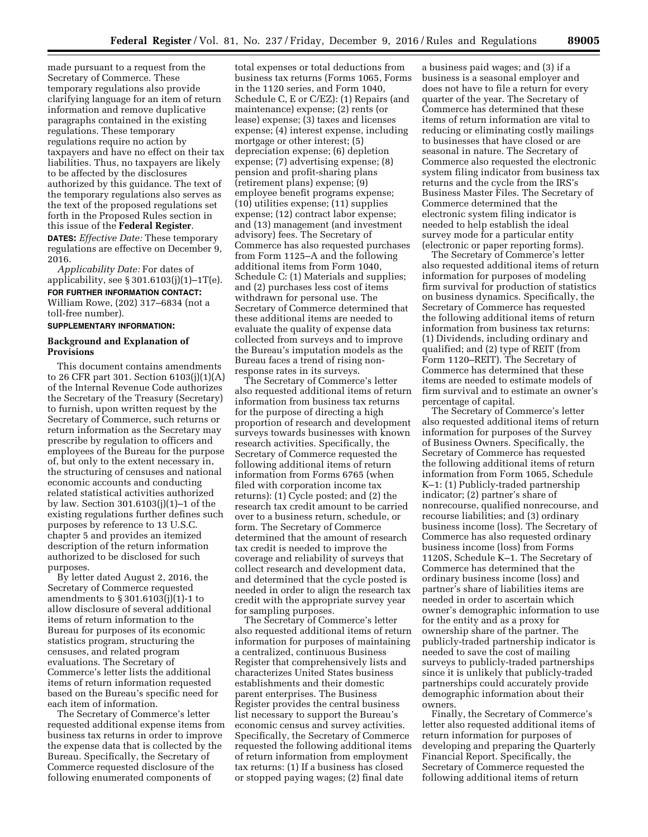made pursuant to a request from the Secretary of Commerce. These temporary regulations also provide clarifying language for an item of return information and remove duplicative paragraphs contained in the existing regulations. These temporary regulations require no action by taxpayers and have no effect on their tax liabilities. Thus, no taxpayers are likely to be affected by the disclosures authorized by this guidance. The text of the temporary regulations also serves as the text of the proposed regulations set forth in the Proposed Rules section in this issue of the **Federal Register**.

**DATES:** *Effective Date:* These temporary regulations are effective on December 9, 2016.

*Applicability Date:* For dates of applicability, see  $\S 301.6103(j)(1)-1T(e)$ .

# **FOR FURTHER INFORMATION CONTACT:**

William Rowe, (202) 317–6834 (not a toll-free number).

## **SUPPLEMENTARY INFORMATION:**

## **Background and Explanation of Provisions**

This document contains amendments to 26 CFR part 301. Section 6103(j)(1)(A) of the Internal Revenue Code authorizes the Secretary of the Treasury (Secretary) to furnish, upon written request by the Secretary of Commerce, such returns or return information as the Secretary may prescribe by regulation to officers and employees of the Bureau for the purpose of, but only to the extent necessary in, the structuring of censuses and national economic accounts and conducting related statistical activities authorized by law. Section 301.6103(j)(1)–1 of the existing regulations further defines such purposes by reference to 13 U.S.C. chapter 5 and provides an itemized description of the return information authorized to be disclosed for such purposes.

By letter dated August 2, 2016, the Secretary of Commerce requested amendments to § 301.6103(j)(1)-1 to allow disclosure of several additional items of return information to the Bureau for purposes of its economic statistics program, structuring the censuses, and related program evaluations. The Secretary of Commerce's letter lists the additional items of return information requested based on the Bureau's specific need for each item of information.

The Secretary of Commerce's letter requested additional expense items from business tax returns in order to improve the expense data that is collected by the Bureau. Specifically, the Secretary of Commerce requested disclosure of the following enumerated components of

total expenses or total deductions from business tax returns (Forms 1065, Forms in the 1120 series, and Form 1040, Schedule C, E or C/EZ): (1) Repairs (and maintenance) expense; (2) rents (or lease) expense; (3) taxes and licenses expense; (4) interest expense, including mortgage or other interest; (5) depreciation expense; (6) depletion expense; (7) advertising expense; (8) pension and profit-sharing plans (retirement plans) expense; (9) employee benefit programs expense; (10) utilities expense; (11) supplies expense; (12) contract labor expense; and (13) management (and investment advisory) fees. The Secretary of Commerce has also requested purchases from Form 1125–A and the following additional items from Form 1040, Schedule C: (1) Materials and supplies; and (2) purchases less cost of items withdrawn for personal use. The Secretary of Commerce determined that these additional items are needed to evaluate the quality of expense data collected from surveys and to improve the Bureau's imputation models as the Bureau faces a trend of rising nonresponse rates in its surveys.

The Secretary of Commerce's letter also requested additional items of return information from business tax returns for the purpose of directing a high proportion of research and development surveys towards businesses with known research activities. Specifically, the Secretary of Commerce requested the following additional items of return information from Forms 6765 (when filed with corporation income tax returns): (1) Cycle posted; and (2) the research tax credit amount to be carried over to a business return, schedule, or form. The Secretary of Commerce determined that the amount of research tax credit is needed to improve the coverage and reliability of surveys that collect research and development data, and determined that the cycle posted is needed in order to align the research tax credit with the appropriate survey year for sampling purposes.

The Secretary of Commerce's letter also requested additional items of return information for purposes of maintaining a centralized, continuous Business Register that comprehensively lists and characterizes United States business establishments and their domestic parent enterprises. The Business Register provides the central business list necessary to support the Bureau's economic census and survey activities. Specifically, the Secretary of Commerce requested the following additional items of return information from employment tax returns: (1) If a business has closed or stopped paying wages; (2) final date

a business paid wages; and (3) if a business is a seasonal employer and does not have to file a return for every quarter of the year. The Secretary of Commerce has determined that these items of return information are vital to reducing or eliminating costly mailings to businesses that have closed or are seasonal in nature. The Secretary of Commerce also requested the electronic system filing indicator from business tax returns and the cycle from the IRS's Business Master Files. The Secretary of Commerce determined that the electronic system filing indicator is needed to help establish the ideal survey mode for a particular entity (electronic or paper reporting forms).

The Secretary of Commerce's letter also requested additional items of return information for purposes of modeling firm survival for production of statistics on business dynamics. Specifically, the Secretary of Commerce has requested the following additional items of return information from business tax returns: (1) Dividends, including ordinary and qualified; and (2) type of REIT (from Form 1120–REIT). The Secretary of Commerce has determined that these items are needed to estimate models of firm survival and to estimate an owner's percentage of capital.

The Secretary of Commerce's letter also requested additional items of return information for purposes of the Survey of Business Owners. Specifically, the Secretary of Commerce has requested the following additional items of return information from Form 1065, Schedule K–1: (1) Publicly-traded partnership indicator; (2) partner's share of nonrecourse, qualified nonrecourse, and recourse liabilities; and (3) ordinary business income (loss). The Secretary of Commerce has also requested ordinary business income (loss) from Forms 1120S, Schedule K–1. The Secretary of Commerce has determined that the ordinary business income (loss) and partner's share of liabilities items are needed in order to ascertain which owner's demographic information to use for the entity and as a proxy for ownership share of the partner. The publicly-traded partnership indicator is needed to save the cost of mailing surveys to publicly-traded partnerships since it is unlikely that publicly-traded partnerships could accurately provide demographic information about their owners.

Finally, the Secretary of Commerce's letter also requested additional items of return information for purposes of developing and preparing the Quarterly Financial Report. Specifically, the Secretary of Commerce requested the following additional items of return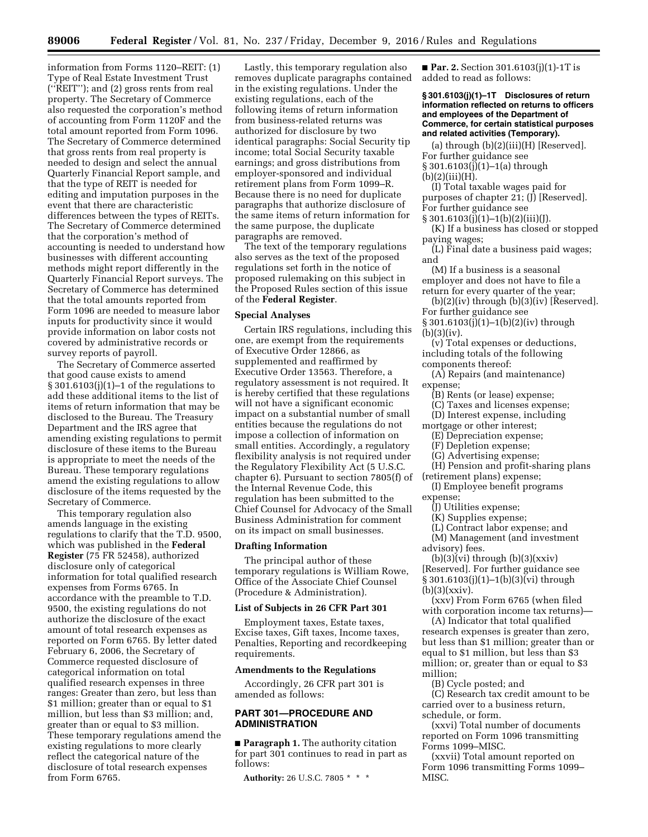information from Forms 1120–REIT: (1) Type of Real Estate Investment Trust (''REIT''); and (2) gross rents from real property. The Secretary of Commerce also requested the corporation's method of accounting from Form 1120F and the total amount reported from Form 1096. The Secretary of Commerce determined that gross rents from real property is needed to design and select the annual Quarterly Financial Report sample, and that the type of REIT is needed for editing and imputation purposes in the event that there are characteristic differences between the types of REITs. The Secretary of Commerce determined that the corporation's method of accounting is needed to understand how businesses with different accounting methods might report differently in the Quarterly Financial Report surveys. The Secretary of Commerce has determined that the total amounts reported from Form 1096 are needed to measure labor inputs for productivity since it would provide information on labor costs not covered by administrative records or survey reports of payroll.

The Secretary of Commerce asserted that good cause exists to amend § 301.6103(j)(1)–1 of the regulations to add these additional items to the list of items of return information that may be disclosed to the Bureau. The Treasury Department and the IRS agree that amending existing regulations to permit disclosure of these items to the Bureau is appropriate to meet the needs of the Bureau. These temporary regulations amend the existing regulations to allow disclosure of the items requested by the Secretary of Commerce.

This temporary regulation also amends language in the existing regulations to clarify that the T.D. 9500, which was published in the **Federal Register** (75 FR 52458), authorized disclosure only of categorical information for total qualified research expenses from Forms 6765. In accordance with the preamble to T.D. 9500, the existing regulations do not authorize the disclosure of the exact amount of total research expenses as reported on Form 6765. By letter dated February 6, 2006, the Secretary of Commerce requested disclosure of categorical information on total qualified research expenses in three ranges: Greater than zero, but less than \$1 million; greater than or equal to \$1 million, but less than \$3 million; and, greater than or equal to \$3 million. These temporary regulations amend the existing regulations to more clearly reflect the categorical nature of the disclosure of total research expenses from Form 6765.

Lastly, this temporary regulation also removes duplicate paragraphs contained in the existing regulations. Under the existing regulations, each of the following items of return information from business-related returns was authorized for disclosure by two identical paragraphs: Social Security tip income; total Social Security taxable earnings; and gross distributions from employer-sponsored and individual retirement plans from Form 1099–R. Because there is no need for duplicate paragraphs that authorize disclosure of the same items of return information for the same purpose, the duplicate paragraphs are removed.

The text of the temporary regulations also serves as the text of the proposed regulations set forth in the notice of proposed rulemaking on this subject in the Proposed Rules section of this issue of the **Federal Register**.

## **Special Analyses**

Certain IRS regulations, including this one, are exempt from the requirements of Executive Order 12866, as supplemented and reaffirmed by Executive Order 13563. Therefore, a regulatory assessment is not required. It is hereby certified that these regulations will not have a significant economic impact on a substantial number of small entities because the regulations do not impose a collection of information on small entities. Accordingly, a regulatory flexibility analysis is not required under the Regulatory Flexibility Act (5 U.S.C. chapter 6). Pursuant to section 7805(f) of the Internal Revenue Code, this regulation has been submitted to the Chief Counsel for Advocacy of the Small Business Administration for comment on its impact on small businesses.

## **Drafting Information**

The principal author of these temporary regulations is William Rowe, Office of the Associate Chief Counsel (Procedure & Administration).

### **List of Subjects in 26 CFR Part 301**

Employment taxes, Estate taxes, Excise taxes, Gift taxes, Income taxes, Penalties, Reporting and recordkeeping requirements.

#### **Amendments to the Regulations**

Accordingly, 26 CFR part 301 is amended as follows:

# **PART 301—PROCEDURE AND ADMINISTRATION**

■ **Paragraph 1.** The authority citation for part 301 continues to read in part as follows:

**Authority:** 26 U.S.C. 7805 \* \* \*

■ **Par. 2.** Section 301.6103(j)(1)-1T is added to read as follows:

### **§ 301.6103(j)(1)–1T Disclosures of return information reflected on returns to officers and employees of the Department of Commerce, for certain statistical purposes and related activities (Temporary).**

(a) through  $(b)(2)(iii)(H)$  [Reserved]. For further guidance see

§ 301.6103(j)(1)–1(a) through

 $(b)(2)(iii)(H).$ 

(I) Total taxable wages paid for purposes of chapter 21; (J) [Reserved]. For further guidance see

 $§ 301.6103(j)(1)-1(b)(2)(iii)(J).$ 

(K) If a business has closed or stopped paying wages;

(L) Final date a business paid wages; and

(M) If a business is a seasonal employer and does not have to file a return for every quarter of the year;

 $(b)(2)(iv)$  through  $(b)(3)(iv)$  [Reserved]. For further guidance see

§ 301.6103(j)(1)–1(b)(2)(iv) through (b)(3)(iv).

(v) Total expenses or deductions, including totals of the following components thereof:

(A) Repairs (and maintenance) expense;

- (B) Rents (or lease) expense;
- (C) Taxes and licenses expense;
- (D) Interest expense, including

mortgage or other interest;

(E) Depreciation expense;

(F) Depletion expense;

(G) Advertising expense;

(H) Pension and profit-sharing plans

(retirement plans) expense;

(I) Employee benefit programs expense;

(J) Utilities expense;

(K) Supplies expense;

(L) Contract labor expense; and (M) Management (and investment

advisory) fees.

 $(b)(3)(vi)$  through  $(b)(3)(xxiv)$ [Reserved]. For further guidance see § 301.6103(j)(1)–1(b)(3)(vi) through  $(b)(3)(xxiv).$ 

(xxv) From Form 6765 (when filed with corporation income tax returns)—

(A) Indicator that total qualified research expenses is greater than zero, but less than \$1 million; greater than or equal to \$1 million, but less than \$3 million; or, greater than or equal to \$3 million;

(B) Cycle posted; and

(C) Research tax credit amount to be carried over to a business return, schedule, or form.

(xxvi) Total number of documents reported on Form 1096 transmitting Forms 1099–MISC.

(xxvii) Total amount reported on Form 1096 transmitting Forms 1099– MISC.